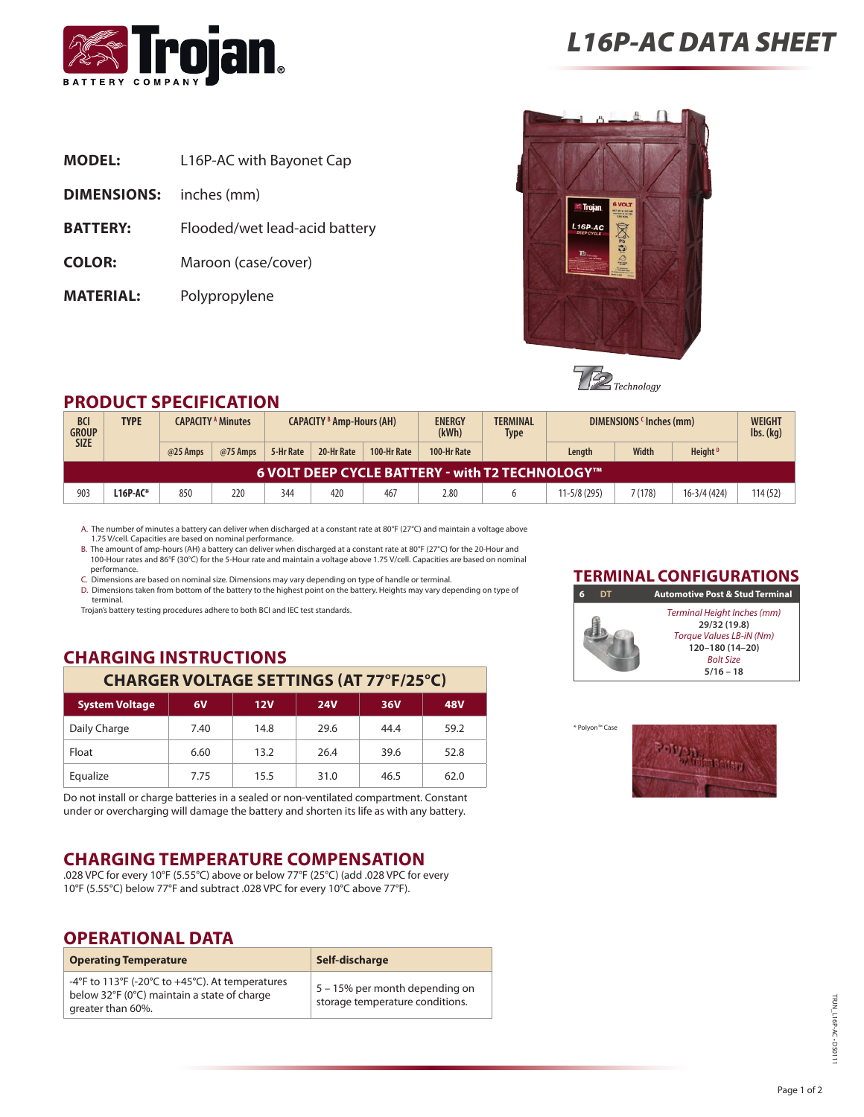

| <b>MODEL:</b> | L16P-AC with Bayonet Cap |
|---------------|--------------------------|
|---------------|--------------------------|

- **DIMENSIONS:** inches (mm)
- **BATTERY:** Flooded/wet lead-acid battery
- **COLOR:** Maroon (case/cover)
- **MATERIAL:** Polypropylene





## **PRODUCT SPECIFICATION**

| <b>BCI</b><br><b>GROUP</b><br><b>SIZE</b>       | <b>TYPE</b><br><b>CAPACITY A Minutes</b> |          | <b>CAPACITY 8 Amp-Hours (AH)</b> |           |            | <b>ENERGY</b><br>(kWh) | <b>TERMINAL</b><br>Type | DIMENSIONS (Inches (mm) |              |              | <b>WEIGHT</b><br>$\mathsf{lbs.}\left(\mathsf{kg}\right)$ |         |
|-------------------------------------------------|------------------------------------------|----------|----------------------------------|-----------|------------|------------------------|-------------------------|-------------------------|--------------|--------------|----------------------------------------------------------|---------|
|                                                 |                                          | @25 Amps | @75 Amps                         | 5-Hr Rate | 20-Hr Rate | 100-Hr Rate            | 100-Hr Rate             |                         | Lenath       | <b>Width</b> | Height <sup>D</sup>                                      |         |
| 6 VOLT DEEP CYCLE BATTERY - with T2 TECHNOLOGY™ |                                          |          |                                  |           |            |                        |                         |                         |              |              |                                                          |         |
| 903                                             | L16P-AC*                                 | 850      | 220                              | 344       | 420        | 467                    | 2.80                    |                         | 11-5/8 (295) | 7(178)       | 16-3/4 (424)                                             | 114(52) |

A. The number of minutes a battery can deliver when discharged at a constant rate at 80°F (27°C) and maintain a voltage above 1.75 V/cell. Capacities are based on nominal performance.

B. The amount of amp-hours (AH) a battery can deliver when discharged at a constant rate at 80°F (27°C) for the 20-Hour and 100-Hour rates and 86°F (30°C) for the 5-Hour rate and maintain a voltage above 1.75 V/cell. Capacities are based on nominal performance.

C. Dimensions are based on nominal size. Dimensions may vary depending on type of handle or terminal. D. Dimensions taken from bottom of the battery to the highest point on the battery. Heights may vary depending on type of terminal.

Trojan's battery testing procedures adhere to both BCI and IEC test standards.

## **CHARGING INSTRUCTIONS**

## **CHARGER VOLTAGE SETTINGS (AT 77°F/25°C)**

| <b>System Voltage</b> | 6V   | 12V  | <b>24V</b> | 36V  | <b>48V</b> |
|-----------------------|------|------|------------|------|------------|
| Daily Charge          | 7.40 | 14.8 | 29.6       | 44.4 | 59.2       |
| Float                 | 6.60 | 13.2 | 26.4       | 39.6 | 52.8       |
| Equalize              | 7.75 | 15.5 | 31.0       | 46.5 | 62.0       |

Do not install or charge batteries in a sealed or non-ventilated compartment. Constant under or overcharging will damage the battery and shorten its life as with any battery.

## **CHARGING TEMPERATURE COMPENSATION**

.028 VPC for every 10°F (5.55°C) above or below 77°F (25°C) (add .028 VPC for every 10°F (5.55°C) below 77°F and subtract .028 VPC for every 10°C above 77°F).

## **OPERATIONAL DATA**

| <b>Operating Temperature</b>                                                                                        | Self-discharge                                                    |
|---------------------------------------------------------------------------------------------------------------------|-------------------------------------------------------------------|
| -4°F to 113°F (-20°C to +45°C). At temperatures<br>below 32°F (0°C) maintain a state of charge<br>greater than 60%. | 5 – 15% per month depending on<br>storage temperature conditions. |

### **TERMINAL CONFIGURATIONS**



\* Polyon™ Case



# *L16P-AC DATA SHEET*